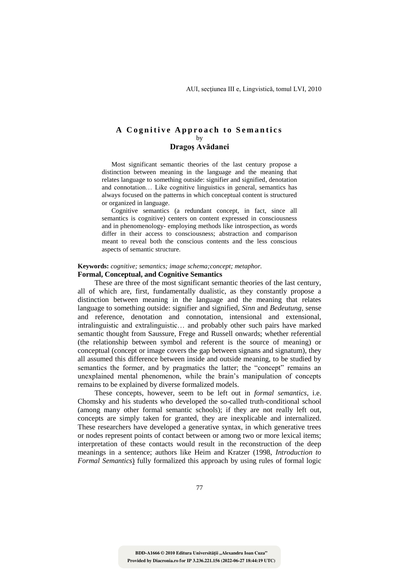## A Cognitive Approach to Semantics by **Dragoş Avădanei**

Most significant semantic theories of the last century propose a distinction between meaning in the language and the meaning that relates language to something outside: signifier and signified, denotation and connotation… Like cognitive linguistics in general, semantics has always focused on the patterns in which conceptual content is structured or organized in language.

Cognitive semantics (a redundant concept, in fact, since all semantics is cognitive) centers on content expressed in consciousness and in phenomenology- employing methods like introspection, as words differ in their access to consciousness; abstraction and comparison meant to reveal both the conscious contents and the less conscious aspects of semantic structure.

## **Keywords:** *cognitive; semantics; image schema;concept; metaphor.* **Formal, Conceptual, and Cognitive Semantics**

These are three of the most significant semantic theories of the last century, all of which are, first, fundamentally dualistic, as they constantly propose a distinction between meaning in the language and the meaning that relates language to something outside: signifier and signified, *Sinn* and *Bedeutung*, sense and reference, denotation and connotation, intensional and extensional, intralinguistic and extralinguistic… and probably other such pairs have marked semantic thought from Saussure, Frege and Russell onwards; whether referential (the relationship between symbol and referent is the source of meaning) or conceptual (concept or image covers the gap between signans and signatum), they all assumed this difference between inside and outside meaning, to be studied by semantics the former, and by pragmatics the latter; the "concept" remains an unexplained mental phenomenon, while the brain's manipulation of concepts remains to be explained by diverse formalized models.

These concepts, however, seem to be left out in *formal semantics*, i.e. Chomsky and his students who developed the so-called truth-conditional school (among many other formal semantic schools); if they are not really left out, concepts are simply taken for granted, they are inexplicable and internalized. These researchers have developed a generative syntax, in which generative trees or nodes represent points of contact between or among two or more lexical items; interpretation of these contacts would result in the reconstruction of the deep meanings in a sentence; authors like Heim and Kratzer (1998, *Introduction to Formal Semantics*) fully formalized this approach by using rules of formal logic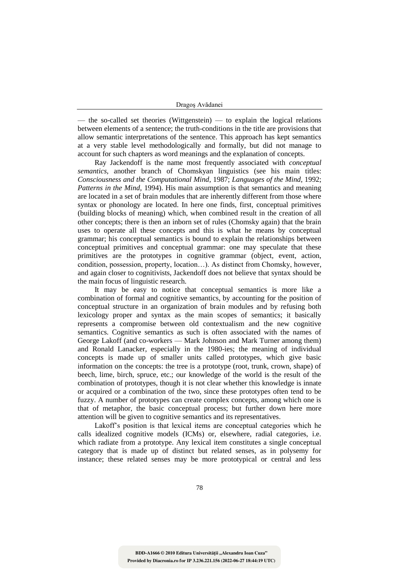| Dragoș Avădanei |  |
|-----------------|--|
|-----------------|--|

— the so-called set theories (Wittgenstein) — to explain the logical relations between elements of a sentence; the truth-conditions in the title are provisions that allow semantic interpretations of the sentence. This approach has kept semantics at a very stable level methodologically and formally, but did not manage to account for such chapters as word meanings and the explanation of concepts.

Ray Jackendoff is the name most frequently associated with *conceptual semantics*, another branch of Chomskyan linguistics (see his main titles: *Consciousness and the Computational Mind*, 1987; *Languages of the Mind*, 1992; *Patterns in the Mind*, 1994). His main assumption is that semantics and meaning are located in a set of brain modules that are inherently different from those where syntax or phonology are located. In here one finds, first, conceptual primitives (building blocks of meaning) which, when combined result in the creation of all other concepts; there is then an inborn set of rules (Chomsky again) that the brain uses to operate all these concepts and this is what he means by conceptual grammar; his conceptual semantics is bound to explain the relationships between conceptual primitives and conceptual grammar: one may speculate that these primitives are the prototypes in cognitive grammar (object, event, action, condition, possession, property, location…). As distinct from Chomsky, however, and again closer to cognitivists, Jackendoff does not believe that syntax should be the main focus of linguistic research.

It may be easy to notice that conceptual semantics is more like a combination of formal and cognitive semantics, by accounting for the position of conceptual structure in an organization of brain modules and by refusing both lexicology proper and syntax as the main scopes of semantics; it basically represents a compromise between old contextualism and the new cognitive semantics. Cognitive semantics as such is often associated with the names of George Lakoff (and co-workers — Mark Johnson and Mark Turner among them) and Ronald Lanacker, especially in the 1980-ies; the meaning of individual concepts is made up of smaller units called prototypes, which give basic information on the concepts: the tree is a prototype (root, trunk, crown, shape) of beech, lime, birch, spruce, etc.; our knowledge of the world is the result of the combination of prototypes, though it is not clear whether this knowledge is innate or acquired or a combination of the two, since these prototypes often tend to be fuzzy. A number of prototypes can create complex concepts, among which one is that of metaphor, the basic conceptual process; but further down here more attention will be given to cognitive semantics and its representatives.

Lakoff's position is that lexical items are conceptual categories which he calls idealized cognitive models (ICMs) or, elsewhere, radial categories, i.e. which radiate from a prototype. Any lexical item constitutes a single conceptual category that is made up of distinct but related senses, as in polysemy for instance; these related senses may be more prototypical or central and less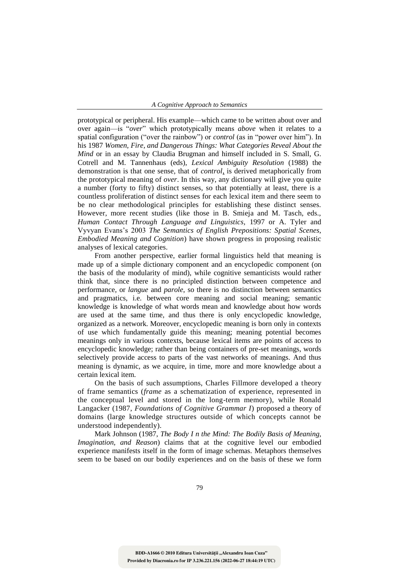prototypical or peripheral. His example—which came to be written about over and over again—is "*over*" which prototypically means *above* when it relates to a spatial configuration ("over the rainbow") or *control* (as in "power over him"). In his 1987 *Women, Fire, and Dangerous Things: What Categories Reveal About the Mind* or in an essay by Claudia Brugman and himself included in S. Small, G. Cotrell and M. Tannenhaus (eds), *Lexical Ambiguity Resolution* (1988) the demonstration is that one sense, that of *control*, is derived metaphorically from the prototypical meaning of *over*. In this way, any dictionary will give you quite a number (forty to fifty) distinct senses, so that potentially at least, there is a countless proliferation of distinct senses for each lexical item and there seem to be no clear methodological principles for establishing these distinct senses. However, more recent studies (like those in B. Smieja and M. Tasch, eds., *Human Contact Through Language and Linguistics,* 1997 or A. Tyler and Vyvyan Evans's 2003 *The Semantics of English Prepositions: Spatial Scenes, Embodied Meaning and Cognition*) have shown progress in proposing realistic analyses of lexical categories.

From another perspective, earlier formal linguistics held that meaning is made up of a simple dictionary component and an encyclopedic component (on the basis of the modularity of mind), while cognitive semanticists would rather think that, since there is no principled distinction between competence and performance, or *langue* and *parole*, so there is no distinction between semantics and pragmatics, i.e. between core meaning and social meaning; semantic knowledge is knowledge of what words mean and knowledge about how words are used at the same time, and thus there is only encyclopedic knowledge, organized as a network. Moreover, encyclopedic meaning is born only in contexts of use which fundamentally guide this meaning; meaning potential becomes meanings only in various contexts, because lexical items are points of access to encyclopedic knowledge; rather than being containers of pre-set meanings, words selectively provide access to parts of the vast networks of meanings. And thus meaning is dynamic, as we acquire, in time, more and more knowledge about a certain lexical item.

On the basis of such assumptions, Charles Fillmore developed a theory of frame semantics (*frame* as a schematization of experience, represented in the conceptual level and stored in the long-term memory), while Ronald Langacker (1987, *Foundations of Cognitive Grammar I*) proposed a theory of domains (large knowledge structures outside of which concepts cannot be understood independently).

Mark Johnson (1987, *The Body I n the Mind: The Bodily Basis of Meaning, Imagination, and Reason*) claims that at the cognitive level our embodied experience manifests itself in the form of image schemas. Metaphors themselves seem to be based on our bodily experiences and on the basis of these we form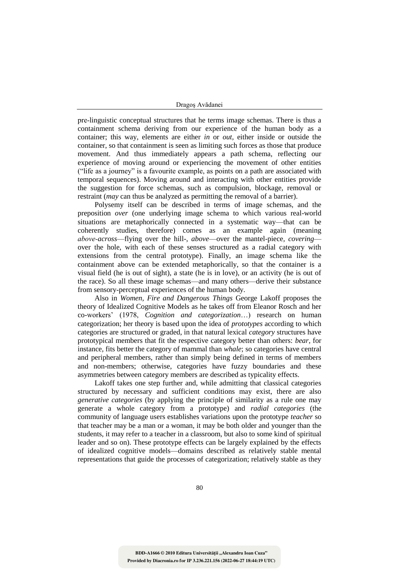| Dragoș Avădanei |
|-----------------|
|                 |

prelinguistic conceptual structures that he terms image schemas. There is thus a containment schema deriving from our experience of the human body as a container; this way, elements are either *in* or *out,* either inside or outside the container, so that containment is seen as limiting such forces as those that produce movement. And thus immediately appears a path schema, reflecting our experience of moving around or experiencing the movement of other entities ("life as a journey" is a favourite example, as points on a path are associated with temporal sequences). Moving around and interacting with other entities provide the suggestion for force schemas, such as compulsion, blockage, removal or restraint (*may* can thus be analyzed as permitting the removal of a barrier).

Polysemy itself can be described in terms of image schemas, and the preposition *over* (one underlying image schema to which various real-world situations are metaphorically connected in a systematic way—that can be coherently studies, therefore) comes as an example again (meaning *aboveacross*—flying over the hill-, *above*—over the mantel-piece*, covering* over the hole, with each of these senses structured as a radial category with extensions from the central prototype). Finally, an image schema like the containment above can be extended metaphorically, so that the container is a visual field (he is out of sight), a state (he is in love), or an activity (he is out of the race). So all these image schemas—and many others—derive their substance from sensory-perceptual experiences of the human body.

Also in *Women, Fire and Dangerous Things* George Lakoff proposes the theory of Idealized Cognitive Models as he takes off from Eleanor Rosch and her co-workers' (1978, *Cognition and categorization*…) research on human categorization; her theory is based upon the idea of *prototypes* according to which categories are structured or graded, in that natural lexical *category* structures have prototypical members that fit the respective category better than others: *bear*, for instance, fits better the category of mammal than *whale*; so categories have central and peripheral members, rather than simply being defined in terms of members and non-members; otherwise, categories have fuzzy boundaries and these asymmetries between category members are described as typicality effects.

Lakoff takes one step further and, while admitting that classical categories structured by necessary and sufficient conditions may exist, there are also *generative categories* (by applying the principle of similarity as a rule one may generate a whole category from a prototype) and *radial categories* (the community of language users establishes variations upon the prototype *teacher* so that teacher may be a man or a woman, it may be both older and younger than the students, it may refer to a teacher in a classroom, but also to some kind of spiritual leader and so on). These prototype effects can be largely explained by the effects of idealized cognitive models—domains described as relatively stable mental representations that guide the processes of categorization; relatively stable as they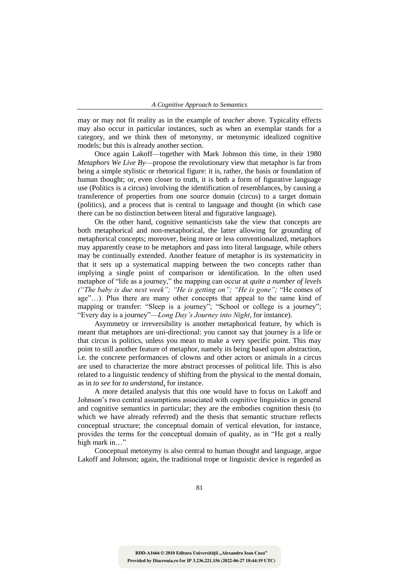may or may not fit reality as in the example of *teacher* above. Typicality effects may also occur in particular instances, such as when an exemplar stands for a category, and we think then of metonymy, or metonymic idealized cognitive models; but this is already another section.

Once again Lakoff—together with Mark Johnson this time, in their 1980 *Metaphors We Live By*—propose the revolutionary view that metaphor is far from being a simple stylistic or rhetorical figure: it is, rather, the basis or foundation of human thought; or, even closer to truth, it is both a form of figurative language use (Politics is a circus) involving the identification of resemblances, by causing a transference of properties from one source domain (circus) to a target domain (politics), and a process that is central to language and thought (in which case there can be no distinction between literal and figurative language).

On the other hand, cognitive semanticists take the view that concepts are both metaphorical and non-metaphorical, the latter allowing for grounding of metaphorical concepts; moreover, being more or less conventionalized, metaphors may apparently cease to be metaphors and pass into literal language, while others may be continually extended. Another feature of metaphor is its systematicity in that it sets up a systematical mapping between the two concepts rather than implying a single point of comparison or identification. In the often used metaphor of "life as a journey," the mapping can occur at *quite a number of levels ("The baby is due next week"; "He is getting on"; "He is gone";* "He comes of age"…). Plus there are many other concepts that appeal to the same kind of mapping or transfer: "Sleep is a journey"; "School or college is a journey"; "Every day is a journey"—*Long Day's Journey into Night*, for instance).

Asymmetry or irreversibility is another metaphorical feature, by which is meant that metaphors are uni-directional: you cannot say that journey is a life or that circus is politics, unless you mean to make a very specific point. This may point to still another feature of metaphor, namely its being based upon abstraction, i.e. the concrete performances of clowns and other actors or animals in a circus are used to characterize the more abstract processes of political life. This is also related to a linguistic tendency of shifting from the physical to the mental domain, as in *to see* for *to understand*, for instance.

A more detailed analysis that this one would have to focus on Lakoff and Johnson's two central assumptions associated with cognitive linguistics in general and cognitive semantics in particular; they are the embodies cognition thesis (to which we have already referred) and the thesis that semantic structure reflects conceptual structure; the conceptual domain of vertical elevation, for instance, provides the terms for the conceptual domain of quality, as in "He got a really high mark in…"

Conceptual metonymy is also central to human thought and language, argue Lakoff and Johnson; again, the traditional trope or linguistic device is regarded as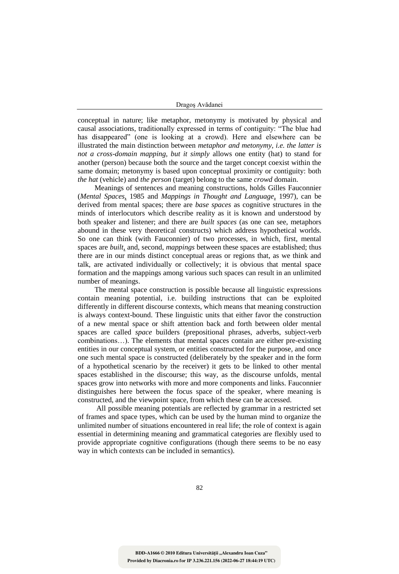| Dragoș Avădanei |  |
|-----------------|--|
|-----------------|--|

conceptual in nature; like metaphor, metonymy is motivated by physical and causal associations, traditionally expressed in terms of contiguity: "The blue had has disappeared" (one is looking at a crowd). Here and elsewhere can be illustrated the main distinction between *metaphor and metonymy, i.e. the latter is not a cross-domain mapping, but it simply* allows one entity (hat) to stand for another (person) because both the source and the target concept coexist within the same domain; metonymy is based upon conceptual proximity or contiguity: both *the hat* (vehicle) and *the person* (target) belong to the same *crowd* domain.

Meanings of sentences and meaning constructions, holds Gilles Fauconnier (*Mental Spaces*, 1985 and *Mappings in Thought and Language*, 1997), can be derived from mental spaces; there are *base spaces* as cognitive structures in the minds of interlocutors which describe reality as it is known and understood by both speaker and listener; and there are *built spaces* (as one can see, metaphors abound in these very theoretical constructs) which address hypothetical worlds. So one can think (with Fauconnier) of two processes, in which, first, mental spaces are *built*, and, second, *mappings* between these spaces are established; thus there are in our minds distinct conceptual areas or regions that, as we think and talk, are activated individually or collectively; it is obvious that mental space formation and the mappings among various such spaces can result in an unlimited number of meanings.

The mental space construction is possible because all linguistic expressions contain meaning potential, i.e. building instructions that can be exploited differently in different discourse contexts, which means that meaning construction is always context-bound. These linguistic units that either favor the construction of a new mental space or shift attention back and forth between older mental spaces are called *space* builders (prepositional phrases, adverbs, subject-verb combinations…). The elements that mental spaces contain are either pre-existing entities in our conceptual system, or entities constructed for the purpose, and once one such mental space is constructed (deliberately by the speaker and in the form of a hypothetical scenario by the receiver) it gets to be linked to other mental spaces established in the discourse; this way, as the discourse unfolds, mental spaces grow into networks with more and more components and links. Fauconnier distinguishes here between the focus space of the speaker, where meaning is constructed, and the viewpoint space, from which these can be accessed.

All possible meaning potentials are reflected by grammar in a restricted set of frames and space types, which can be used by the human mind to organize the unlimited number of situations encountered in real life; the role of context is again essential in determining meaning and grammatical categories are flexibly used to provide appropriate cognitive configurations (though there seems to be no easy way in which contexts can be included in semantics).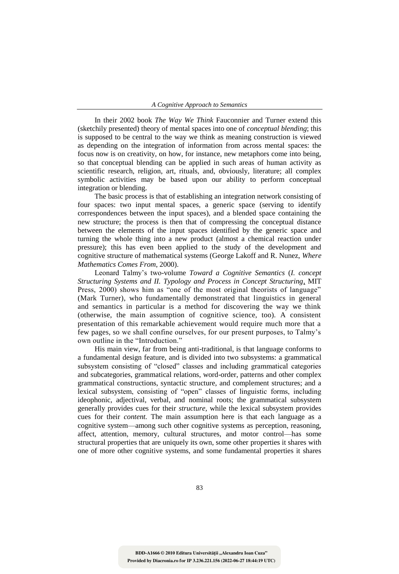In their 2002 book *The Way We Think* Fauconnier and Turner extend this (sketchily presented) theory of mental spaces into one of *conceptual blending*; this is supposed to be central to the way we think as meaning construction is viewed as depending on the integration of information from across mental spaces: the focus now is on creativity, on how, for instance, new metaphors come into being, so that conceptual blending can be applied in such areas of human activity as scientific research, religion, art, rituals, and, obviously, literature; all complex symbolic activities may be based upon our ability to perform conceptual integration or blending.

The basic process is that of establishing an integration network consisting of four spaces: two input mental spaces, a generic space (serving to identify correspondences between the input spaces), and a blended space containing the new structure; the process is then that of compressing the conceptual distance between the elements of the input spaces identified by the generic space and turning the whole thing into a new product (almost a chemical reaction under pressure); this has even been applied to the study of the development and cognitive structure of mathematical systems (George Lakoff and R. Nunez, *Where Mathematics Comes From*, 2000).

Leonard Talmy's two-volume *Toward a Cognitive Semantics* (*I. concept Structuring Systems and II. Typology and Process in Concept Structuring*, MIT Press, 2000) shows him as "one of the most original theorists of language" (Mark Turner), who fundamentally demonstrated that linguistics in general and semantics in particular is a method for discovering the way we think (otherwise, the main assumption of cognitive science, too). A consistent presentation of this remarkable achievement would require much more that a few pages, so we shall confine ourselves, for our present purposes, to Talmy's own outline in the "Introduction."

His main view, far from being anti-traditional, is that language conforms to a fundamental design feature, and is divided into two subsystems: a grammatical subsystem consisting of "closed" classes and including grammatical categories and subcategories, grammatical relations, word-order, patterns and other complex grammatical constructions, syntactic structure, and complement structures; and a lexical subsystem, consisting of "open" classes of linguistic forms, including ideophonic, adjectival, verbal, and nominal roots; the grammatical subsystem generally provides cues for their *structure,* while the lexical subsystem provides cues for their *content.* The main assumption here is that each language as a cognitive system—among such other cognitive systems as perception, reasoning, affect, attention, memory, cultural structures, and motor control—has some structural properties that are uniquely its own, some other properties it shares with one of more other cognitive systems, and some fundamental properties it shares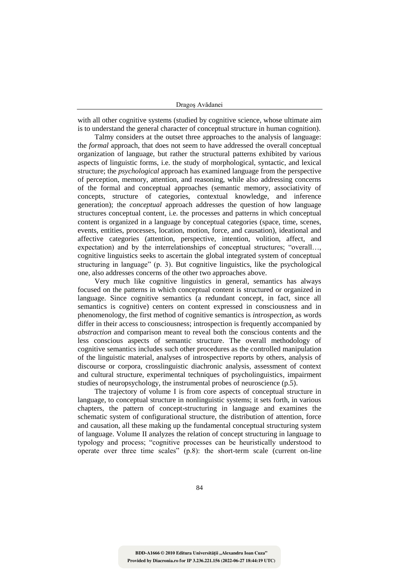| Dragoș Avădanei |
|-----------------|

with all other cognitive systems (studied by cognitive science, whose ultimate aim is to understand the general character of conceptual structure in human cognition).

Talmy considers at the outset three approaches to the analysis of language: the *formal* approach, that does not seem to have addressed the overall conceptual organization of language, but rather the structural patterns exhibited by various aspects of linguistic forms, i.e. the study of morphological, syntactic, and lexical structure; the *psychological* approach has examined language from the perspective of perception, memory, attention, and reasoning, while also addressing concerns of the formal and conceptual approaches (semantic memory, associativity of concepts, structure of categories, contextual knowledge, and inference generation); the *conceptual* approach addresses the question of how language structures conceptual content, i.e. the processes and patterns in which conceptual content is organized in a language by conceptual categories (space, time, scenes, events, entities, processes, location, motion, force, and causation), ideational and affective categories (attention, perspective, intention, volition, affect, and expectation) and by the interrelationships of conceptual structures; "overall…, cognitive linguistics seeks to ascertain the global integrated system of conceptual structuring in language" (p. 3). But cognitive linguistics, like the psychological one, also addresses concerns of the other two approaches above.

Very much like cognitive linguistics in general, semantics has always focused on the patterns in which conceptual content is structured or organized in language. Since cognitive semantics (a redundant concept, in fact, since all semantics is cognitive) centers on content expressed in consciousness and in phenomenology, the first method of cognitive semantics is *introspection*, as words differ in their access to consciousness; introspection is frequently accompanied by *abstraction* and comparison meant to reveal both the conscious contents and the less conscious aspects of semantic structure. The overall methodology of cognitive semantics includes such other procedures as the controlled manipulation of the linguistic material, analyses of introspective reports by others, analysis of discourse or corpora, crosslinguistic diachronic analysis, assessment of context and cultural structure, experimental techniques of psycholinguistics, impairment studies of neuropsychology, the instrumental probes of neuroscience (p.5).

The trajectory of volume I is from core aspects of conceptual structure in language, to conceptual structure in nonlinguistic systems; it sets forth, in various chapters, the pattern of concept-structuring in language and examines the schematic system of configurational structure, the distribution of attention, force and causation, all these making up the fundamental conceptual structuring system of language. Volume II analyzes the relation of concept structuring in language to typology and process; "cognitive processes can be heuristically understood to operate over three time scales"  $(p.8)$ : the short-term scale (current on-line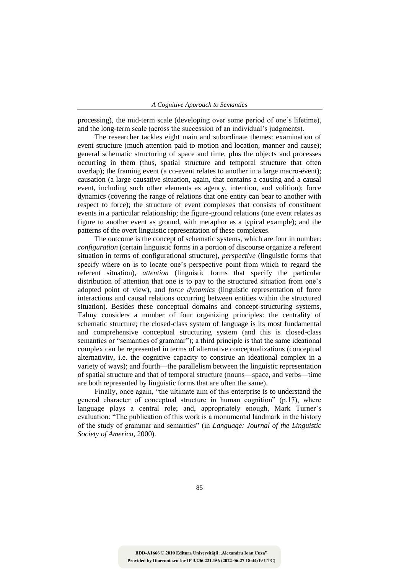processing), the mid-term scale (developing over some period of one's lifetime), and the long-term scale (across the succession of an individual's judgments).

The researcher tackles eight main and subordinate themes: examination of event structure (much attention paid to motion and location, manner and cause); general schematic structuring of space and time, plus the objects and processes occurring in them (thus, spatial structure and temporal structure that often overlap); the framing event (a co-event relates to another in a large macro-event); causation (a large causative situation, again, that contains a causing and a causal event, including such other elements as agency, intention, and volition); force dynamics (covering the range of relations that one entity can bear to another with respect to force); the structure of event complexes that consists of constituent events in a particular relationship; the figure-ground relations (one event relates as figure to another event as ground, with metaphor as a typical example); and the patterns of the overt linguistic representation of these complexes.

The outcome is the concept of schematic systems, which are four in number: *configuration* (certain linguistic forms in a portion of discourse organize a referent situation in terms of configurational structure), *perspective* (linguistic forms that specify where on is to locate one's perspective point from which to regard the referent situation), *attention* (linguistic forms that specify the particular distribution of attention that one is to pay to the structured situation from one's adopted point of view), and *force dynamics* (linguistic representation of force interactions and causal relations occurring between entities within the structured situation). Besides these conceptual domains and concept-structuring systems, Talmy considers a number of four organizing principles: the centrality of schematic structure; the closed-class system of language is its most fundamental and comprehensive conceptual structuring system (and this is closed-class semantics or "semantics of grammar"); a third principle is that the same ideational complex can be represented in terms of alternative conceptualizations (conceptual alternativity, i.e. the cognitive capacity to construe an ideational complex in a variety of ways); and fourth—the parallelism between the linguistic representation of spatial structure and that of temporal structure (nouns—space, and verbs—time are both represented by linguistic forms that are often the same).

Finally, once again, "the ultimate aim of this enterprise is to understand the general character of conceptual structure in human cognition" (p.17), where language plays a central role; and, appropriately enough, Mark Turner's evaluation: "The publication of this work is a monumental landmark in the history of the study of grammar and semantics" (in *Language: Journal of the Linguistic Society of America*, 2000).